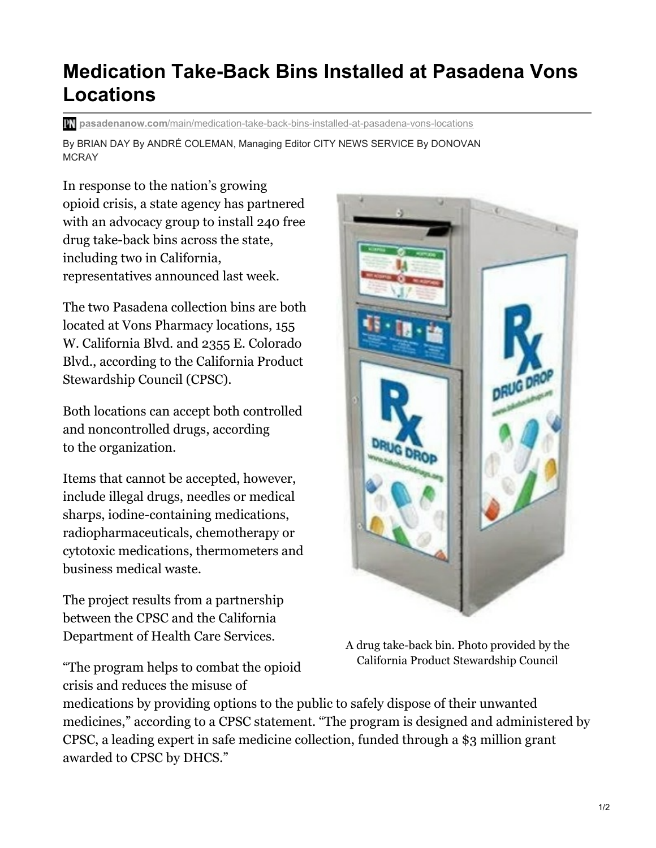## **Medication Take-Back Bins Installed at Pasadena Vons Locations**

**pasadenanow.com**[/main/medication-take-back-bins-installed-at-pasadena-vons-locations](https://www.pasadenanow.com/main/medication-take-back-bins-installed-at-pasadena-vons-locations/)

By BRIAN DAY By ANDRÉ COLEMAN, Managing Editor CITY NEWS SERVICE By DONOVAN MCRAY

In response to the nation's growing opioid crisis, a state agency has partnered with an advocacy group to install 240 free drug take-back bins across the state, including two in California, representatives announced last week.

The two Pasadena collection bins are both located at Vons Pharmacy locations, 155 W. California Blvd. and 2355 E. Colorado Blvd., according to the California Product Stewardship Council (CPSC).

Both locations can accept both controlled and noncontrolled drugs, according to the organization.

Items that cannot be accepted, however, include illegal drugs, needles or medical sharps, iodine-containing medications, radiopharmaceuticals, chemotherapy or cytotoxic medications, thermometers and business medical waste.

The project results from a partnership between the CPSC and the California Department of Health Care Services.

"The program helps to combat the opioid crisis and reduces the misuse of



A drug take-back bin. Photo provided by the California Product Stewardship Council

medications by providing options to the public to safely dispose of their unwanted medicines," according to a CPSC statement. "The program is designed and administered by CPSC, a leading expert in safe medicine collection, funded through a \$3 million grant awarded to CPSC by DHCS."